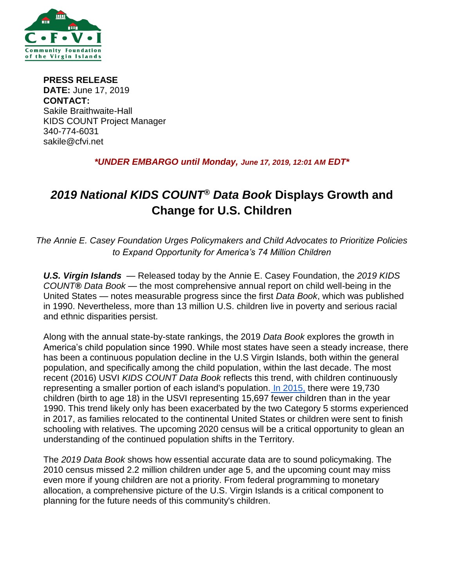

**PRESS RELEASE DATE:** June 17, 2019 **CONTACT:**  Sakile Braithwaite-Hall KIDS COUNT Project Manager 340-774-6031 sakile@cfvi.net

## *\*UNDER EMBARGO until Monday, June 17, 2019, 12:01 AM EDT\**

# *2019 National KIDS COUNT® Data Book* **Displays Growth and Change for U.S. Children**

*The Annie E. Casey Foundation Urges Policymakers and Child Advocates to Prioritize Policies to Expand Opportunity for America's 74 Million Children*

*U.S. Virgin Islands* — Released today by the Annie E. Casey Foundation, the *2019 KIDS COUNT® Data Book* — the most comprehensive annual report on child well-being in the United States — notes measurable progress since the first *Data Book*, which was published in 1990. Nevertheless, more than 13 million U.S. children live in poverty and serious racial and ethnic disparities persist.

Along with the annual state-by-state rankings, the 2019 *Data Book* explores the growth in America's child population since 1990. While most states have seen a steady increase, there has been a continuous population decline in the U.S Virgin Islands, both within the general population, and specifically among the child population, within the last decade. The most recent (2016) USVI *KIDS COUNT Data Book* reflects this trend, with children continuously representing a smaller portion of each island's population. [In 2015,](https://datacenter.kidscount.org/data/tables/5264-total-child-population-under-18?loc=54&loct=4#detailed/4/any/false/573,869,36,868,133,38,35,18,17,16/any/11751,11752) there were 19,730 children (birth to age 18) in the USVI representing 15,697 fewer children than in the year 1990. This trend likely only has been exacerbated by the two Category 5 storms experienced in 2017, as families relocated to the continental United States or children were sent to finish schooling with relatives. The upcoming 2020 census will be a critical opportunity to glean an understanding of the continued population shifts in the Territory.

The *2019 Data Book* shows how essential accurate data are to sound policymaking. The 2010 census missed 2.2 million children under age 5, and the upcoming count may miss even more if young children are not a priority. From federal programming to monetary allocation, a comprehensive picture of the U.S. Virgin Islands is a critical component to planning for the future needs of this community's children.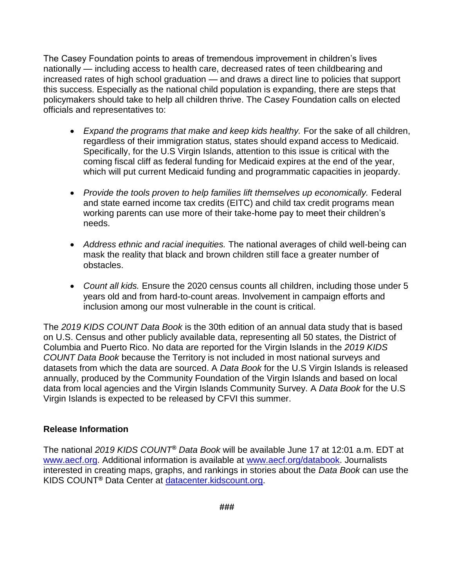The Casey Foundation points to areas of tremendous improvement in children's lives nationally — including access to health care, decreased rates of teen childbearing and increased rates of high school graduation — and draws a direct line to policies that support this success. Especially as the national child population is expanding, there are steps that policymakers should take to help all children thrive. The Casey Foundation calls on elected officials and representatives to:

- *Expand the programs that make and keep kids healthy.* For the sake of all children, regardless of their immigration status, states should expand access to Medicaid. Specifically, for the U.S Virgin Islands, attention to this issue is critical with the coming fiscal cliff as federal funding for Medicaid expires at the end of the year, which will put current Medicaid funding and programmatic capacities in jeopardy.
- *Provide the tools proven to help families lift themselves up economically.* Federal and state earned income tax credits (EITC) and child tax credit programs mean working parents can use more of their take-home pay to meet their children's needs.
- *Address ethnic and racial inequities.* The national averages of child well-being can mask the reality that black and brown children still face a greater number of obstacles.
- *Count all kids.* Ensure the 2020 census counts all children, including those under 5 years old and from hard-to-count areas. Involvement in campaign efforts and inclusion among our most vulnerable in the count is critical.

The *2019 KIDS COUNT Data Book* is the 30th edition of an annual data study that is based on U.S. Census and other publicly available data, representing all 50 states, the District of Columbia and Puerto Rico. No data are reported for the Virgin Islands in the *2019 KIDS COUNT Data Book* because the Territory is not included in most national surveys and datasets from which the data are sourced. A *Data Book* for the U.S Virgin Islands is released annually, produced by the Community Foundation of the Virgin Islands and based on local data from local agencies and the Virgin Islands Community Survey. A *Data Book* for the U.S Virgin Islands is expected to be released by CFVI this summer.

### **Release Information**

The national *2019 KIDS COUNT® Data Book* will be available June 17 at 12:01 a.m. EDT at [www.aecf.org.](file:///C:/Users/bboughamer/AppData/Local/Microsoft/Windows/INetCache/Content.Outlook/U9MF7906/www.aecf.org) Additional information is available at [www.aecf.org/databook.](file:///C:/Users/bboughamer/AppData/Local/Microsoft/Windows/INetCache/Content.Outlook/U9MF7906/www.aecf.org/databook) Journalists interested in creating maps, graphs, and rankings in stories about the *Data Book* can use the KIDS COUNT*®* Data Center at [datacenter.kidscount.org.](file:///C:/Users/bboughamer/AppData/Local/Microsoft/Windows/INetCache/Content.Outlook/U9MF7906/datacenter.kidscount.org)